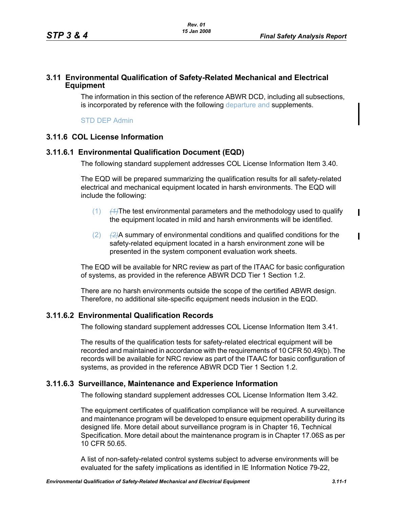# **3.11 Environmental Qualification of Safety-Related Mechanical and Electrical Equipment**

The information in this section of the reference ABWR DCD, including all subsections, is incorporated by reference with the following departure and supplements.

STD DEP Admin

# **3.11.6 COL License Information**

# **3.11.6.1 Environmental Qualification Document (EQD)**

The following standard supplement addresses COL License Information Item 3.40.

The EQD will be prepared summarizing the qualification results for all safety-related electrical and mechanical equipment located in harsh environments. The EQD will include the following:

- (1) *(1)*The test environmental parameters and the methodology used to qualify the equipment located in mild and harsh environments will be identified.
- (2) *(2)*A summary of environmental conditions and qualified conditions for the safety-related equipment located in a harsh environment zone will be presented in the system component evaluation work sheets.

The EQD will be available for NRC review as part of the ITAAC for basic configuration of systems, as provided in the reference ABWR DCD Tier 1 Section 1.2.

There are no harsh environments outside the scope of the certified ABWR design. Therefore, no additional site-specific equipment needs inclusion in the EQD.

# **3.11.6.2 Environmental Qualification Records**

The following standard supplement addresses COL License Information Item 3.41.

The results of the qualification tests for safety-related electrical equipment will be recorded and maintained in accordance with the requirements of 10 CFR 50.49(b). The records will be available for NRC review as part of the ITAAC for basic configuration of systems, as provided in the reference ABWR DCD Tier 1 Section 1.2.

### **3.11.6.3 Surveillance, Maintenance and Experience Information**

The following standard supplement addresses COL License Information Item 3.42.

The equipment certificates of qualification compliance will be required. A surveillance and maintenance program will be developed to ensure equipment operability during its designed life. More detail about surveillance program is in Chapter 16, Technical Specification. More detail about the maintenance program is in Chapter 17.06S as per 10 CFR 50.65.

A list of non-safety-related control systems subject to adverse environments will be evaluated for the safety implications as identified in IE Information Notice 79-22,

 $\mathbf I$ 

Π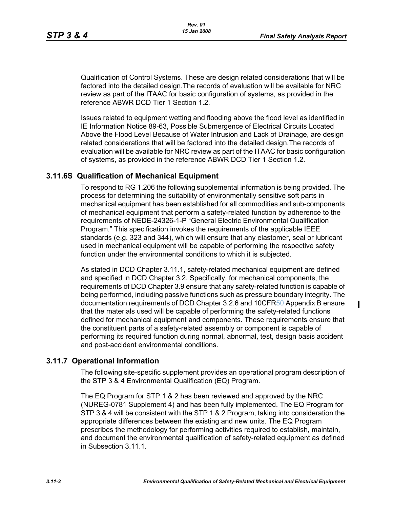$\mathbf I$ 

Qualification of Control Systems. These are design related considerations that will be factored into the detailed design.The records of evaluation will be available for NRC review as part of the ITAAC for basic configuration of systems, as provided in the reference ABWR DCD Tier 1 Section 1.2.

Issues related to equipment wetting and flooding above the flood level as identified in IE Information Notice 89-63, Possible Submergence of Electrical Circuits Located Above the Flood Level Because of Water Intrusion and Lack of Drainage, are design related considerations that will be factored into the detailed design.The records of evaluation will be available for NRC review as part of the ITAAC for basic configuration of systems, as provided in the reference ABWR DCD Tier 1 Section 1.2.

# **3.11.6S Qualification of Mechanical Equipment**

To respond to RG 1.206 the following supplemental information is being provided. The process for determining the suitability of environmentally sensitive soft parts in mechanical equipment has been established for all commodities and sub-components of mechanical equipment that perform a safety-related function by adherence to the requirements of NEDE-24326-1-P "General Electric Environmental Qualification Program." This specification invokes the requirements of the applicable IEEE standards (e.g. 323 and 344), which will ensure that any elastomer, seal or lubricant used in mechanical equipment will be capable of performing the respective safety function under the environmental conditions to which it is subjected.

As stated in DCD Chapter 3.11.1, safety-related mechanical equipment are defined and specified in DCD Chapter 3.2. Specifically, for mechanical components, the requirements of DCD Chapter 3.9 ensure that any safety-related function is capable of being performed, including passive functions such as pressure boundary integrity. The documentation requirements of DCD Chapter 3.2.6 and 10CFR50 Appendix B ensure that the materials used will be capable of performing the safety-related functions defined for mechanical equipment and components. These requirements ensure that the constituent parts of a safety-related assembly or component is capable of performing its required function during normal, abnormal, test, design basis accident and post-accident environmental conditions.

### **3.11.7 Operational Information**

The following site-specific supplement provides an operational program description of the STP 3 & 4 Environmental Qualification (EQ) Program.

The EQ Program for STP 1 & 2 has been reviewed and approved by the NRC (NUREG-0781 Supplement 4) and has been fully implemented. The EQ Program for STP 3 & 4 will be consistent with the STP 1 & 2 Program, taking into consideration the appropriate differences between the existing and new units. The EQ Program prescribes the methodology for performing activities required to establish, maintain, and document the environmental qualification of safety-related equipment as defined in Subsection 3.11.1.